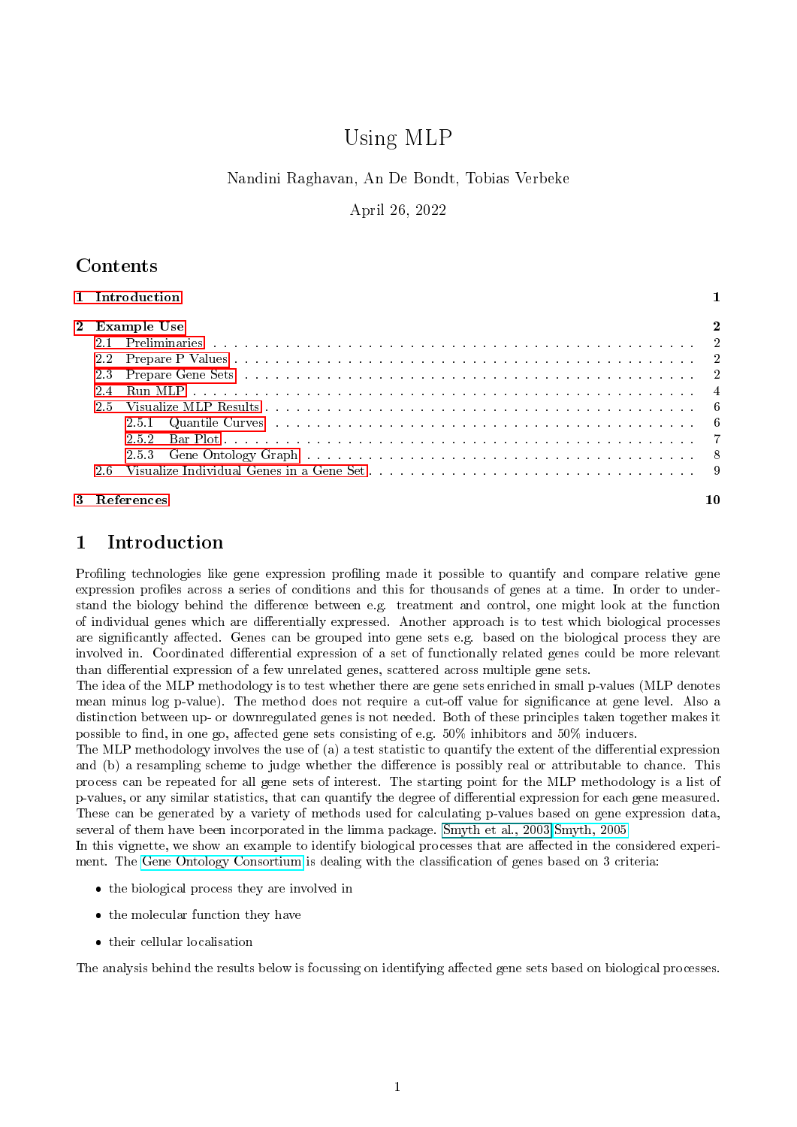# Using MLP

#### Nandini Raghavan, An De Bondt, Tobias Verbeke

April 26, 2022

# <span id="page-0-1"></span>Contents

| 1 Introduction |  |
|----------------|--|
| 2 Example Use  |  |
|                |  |
|                |  |
|                |  |
|                |  |
|                |  |
|                |  |
| 252            |  |
|                |  |
|                |  |
| 3 References   |  |

# <span id="page-0-0"></span>1 Introduction

Profiling technologies like gene expression profiling made it possible to quantify and compare relative gene expression profiles across a series of conditions and this for thousands of genes at a time. In order to understand the biology behind the difference between e.g. treatment and control, one might look at the function of individual genes which are differentially expressed. Another approach is to test which biological processes are significantly affected. Genes can be grouped into gene sets e.g. based on the biological process they are involved in. Coordinated differential expression of a set of functionally related genes could be more relevant than differential expression of a few unrelated genes, scattered across multiple gene sets.

The idea of the MLP methodology is to test whether there are gene sets enriched in small p-values (MLP denotes mean minus log p-value). The method does not require a cut-off value for significance at gene level. Also a distinction between up- or downregulated genes is not needed. Both of these principles taken together makes it possible to find, in one go, affected gene sets consisting of e.g. 50% inhibitors and 50% inducers.

The MLP methodology involves the use of (a) a test statistic to quantify the extent of the differential expression and (b) a resampling scheme to judge whether the difference is possibly real or attributable to chance. This process can be repeated for all gene sets of interest. The starting point for the MLP methodology is a list of p-values, or any similar statistics, that can quantify the degree of differential expression for each gene measured. These can be generated by a variety of methods used for calculating p-values based on gene expression data, several of them have been incorporated in the limma package. Smyth et al., 2003 [Smyth, 2005](http://www.statsci.org/smyth/pubs/limma-biocbook-reprint.pdf)

In this vignette, we show an example to identify biological processes that are affected in the considered experiment. The [Gene Ontology Consortium](http://www.geneontology.org/) is dealing with the classication of genes based on 3 criteria:

- the biological process they are involved in
- the molecular function they have
- their cellular localisation

The analysis behind the results below is focussing on identifying affected gene sets based on biological processes.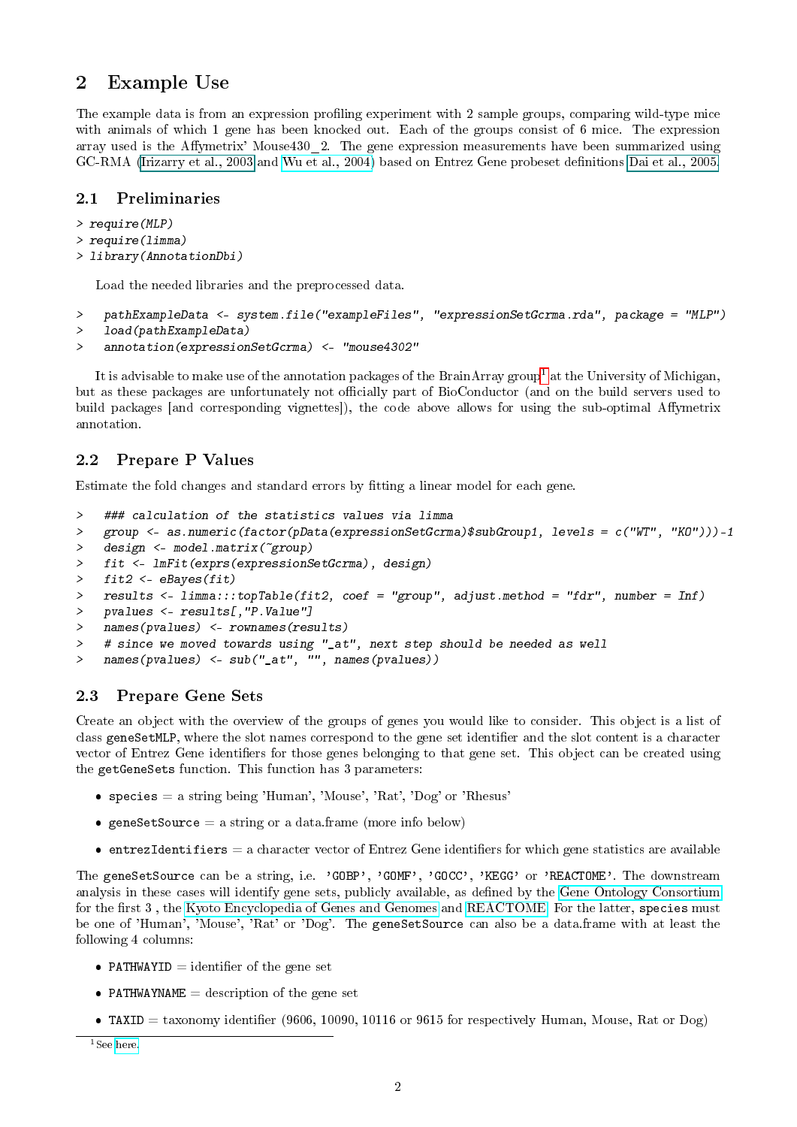# <span id="page-1-0"></span>2 Example Use

The example data is from an expression profiling experiment with 2 sample groups, comparing wild-type mice with animals of which 1 gene has been knocked out. Each of the groups consist of 6 mice. The expression array used is the Affymetrix' Mouse430 2. The gene expression measurements have been summarized using GC-RMA [\(Irizarry et al., 2003](#page-0-1) and [Wu et al., 2004\)](http://www.bepress.com/jhubiostat/paper1/) based on Entrez Gene probeset denitions [Dai et al., 2005.](#page-0-1)

#### <span id="page-1-1"></span>2.1 Preliminaries

```
> require(MLP)
> require(limma)
> library(AnnotationDbi)
```
Load the needed libraries and the preprocessed data.

```
> pathExampleData <- system.file("exampleFiles", "expressionSetGcrma.rda", package = "MLP")
> load(pathExampleData)
```

```
> annotation(expressionSetGcrma) <- "mouse4302"
```
It is advisable to make use of the annotation packages of the BrainArray group<sup>[1](#page-1-4)</sup> at the University of Michigan, but as these packages are unfortunately not officially part of BioConductor (and on the build servers used to build packages [and corresponding vignettes]), the code above allows for using the sub-optimal Affymetrix annotation.

# <span id="page-1-2"></span>2.2 Prepare P Values

Estimate the fold changes and standard errors by tting a linear model for each gene.

```
> ### calculation of the statistics values via limma
> group <- as.numeric(factor(pData(expressionSetGcrma)$subGroup1, levels = c("WT", "KO")))-1
> design <- model.matrix(~group)
> fit <- lmFit(exprs(expressionSetGcrma), design)
> fit2 <- eBayes(fit)
> results <- limma:::topTable(fit2, coef = "group", adjust.method = "fdr", number = Inf)
> pvalues <- results[,"P.Value"]
> names(pvalues) <- rownames(results)
> # since we moved towards using "_at", next step should be needed as well
> names(pvalues) <- sub("_at", "", names(pvalues))
```
## <span id="page-1-3"></span>2.3 Prepare Gene Sets

Create an object with the overview of the groups of genes you would like to consider. This object is a list of class geneSetMLP, where the slot names correspond to the gene set identifier and the slot content is a character vector of Entrez Gene identifiers for those genes belonging to that gene set. This object can be created using the getGeneSets function. This function has 3 parameters:

- species = a string being 'Human', 'Mouse', 'Rat', 'Dog' or 'Rhesus'
- **•** geneSetSource = a string or a data.frame (more info below)
- **entrezIdentifiers**  $=$  a character vector of Entrez Gene identifiers for which gene statistics are available

The geneSetSource can be a string, i.e. 'GOBP', 'GOMF', 'GOCC', 'KEGG' or 'REACTOME'. The downstream analysis in these cases will identify gene sets, publicly available, as defined by the [Gene Ontology Consortium](http://www.geneontology.org/) for the first 3, the [Kyoto Encyclopedia of Genes and Genomes](http://www.genome.jp/kegg/) and [REACTOME.](http://www.reactome.org) For the latter, species must be one of 'Human', 'Mouse', 'Rat' or 'Dog'. The geneSetSource can also be a data.frame with at least the following 4 columns:

- PATHWAYID  $=$  identifier of the gene set
- PATHWAYNAME  $=$  description of the gene set
- TAXID = taxonomy identifier (9606, 10090, 10116 or 9615 for respectively Human, Mouse, Rat or Dog)

<span id="page-1-4"></span><sup>&</sup>lt;sup>1</sup>See [here.](http://brainarray.mbni.med.umich.edu/Brainarray/Database/CustomCDF/genomic_curated_CDF.asp)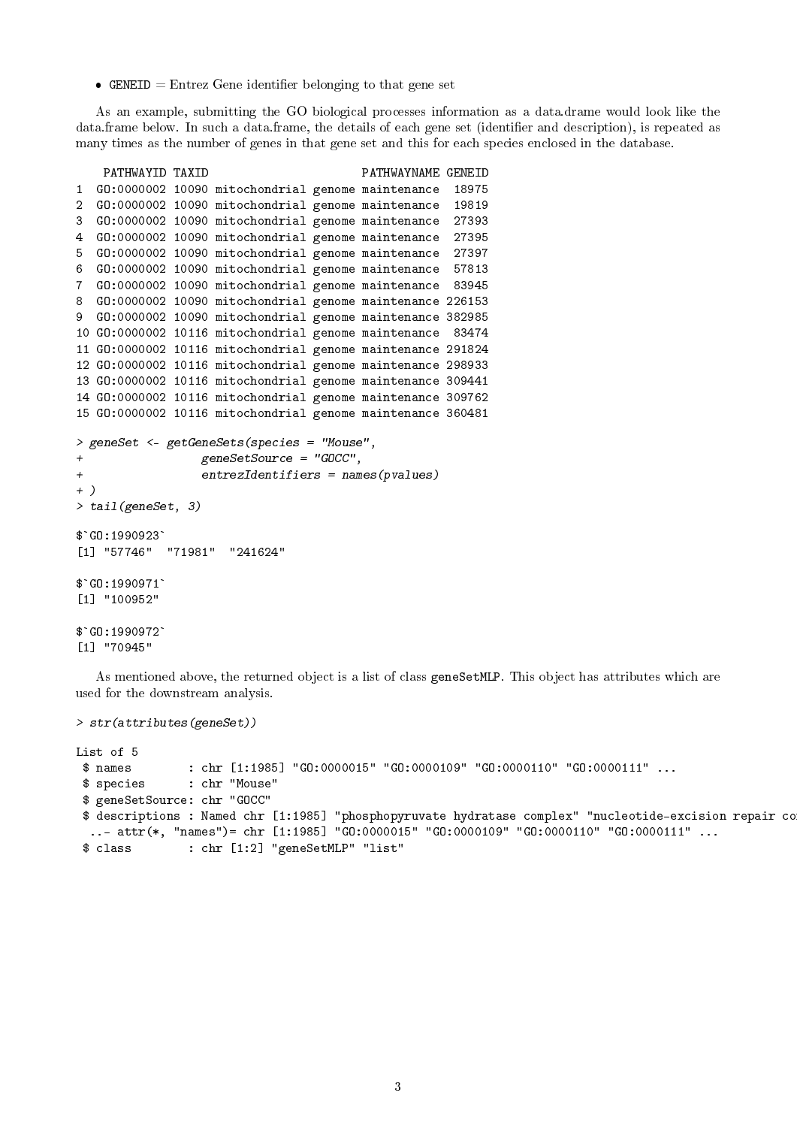• GENEID = Entrez Gene identifier belonging to that gene set

As an example, submitting the GO biological processes information as a data.drame would look like the data.frame below. In such a data.frame, the details of each gene set (identifier and description), is repeated as many times as the number of genes in that gene set and this for each species enclosed in the database.

```
PATHWAYID TAXID PATHWAYNAME GENEID
1 GO:0000002 10090 mitochondrial genome maintenance 18975
2 GO:0000002 10090 mitochondrial genome maintenance 19819
3 GO:0000002 10090 mitochondrial genome maintenance 27393
4 GO:0000002 10090 mitochondrial genome maintenance 27395
5 GO:0000002 10090 mitochondrial genome maintenance 27397
6 GO:0000002 10090 mitochondrial genome maintenance 57813
7 GO:0000002 10090 mitochondrial genome maintenance 83945
8 GO:0000002 10090 mitochondrial genome maintenance 226153
9 GO:0000002 10090 mitochondrial genome maintenance 382985
10 GO:0000002 10116 mitochondrial genome maintenance 83474
11 GO:0000002 10116 mitochondrial genome maintenance 291824
12 GO:0000002 10116 mitochondrial genome maintenance 298933
13 GO:0000002 10116 mitochondrial genome maintenance 309441
14 GO:0000002 10116 mitochondrial genome maintenance 309762
15 GO:0000002 10116 mitochondrial genome maintenance 360481
> geneSet <- getGeneSets(species = "Mouse",
+ geneSetSource = "GOCC",
+ entrezIdentifiers = names(pvalues)
+ )
> tail(geneSet, 3)
$`GO:1990923`
[1] "57746" "71981" "241624"
$`GO:1990923`<br>[1] "57746"<br>$`GO:1990971`
[1] "100952"
$`GO:1990971`<br>[1] "100952"<br>$`GO:1990972`
[1] "70945"
```
As mentioned above, the returned object is a list of class geneSetMLP. This object has attributes which are used for the downstream analysis.

```
> str(attributes(geneSet))
```
List of 5 \$ names : chr [1:1985] "GO:0000015" "GO:0000109" "GO:0000110" "GO:0000111" ... \$ species : chr "Mouse" \$ geneSetSource: chr "GOCC" \$ descriptions : Named chr [1:1985] "phosphopyruvate hydratase complex" "nucleotide-excision repair co ..- attr(\*, "names")= chr [1:1985] "GO:0000015" "GO:0000109" "GO:0000110" "GO:0000111" ... \$ class : chr [1:2] "geneSetMLP" "list"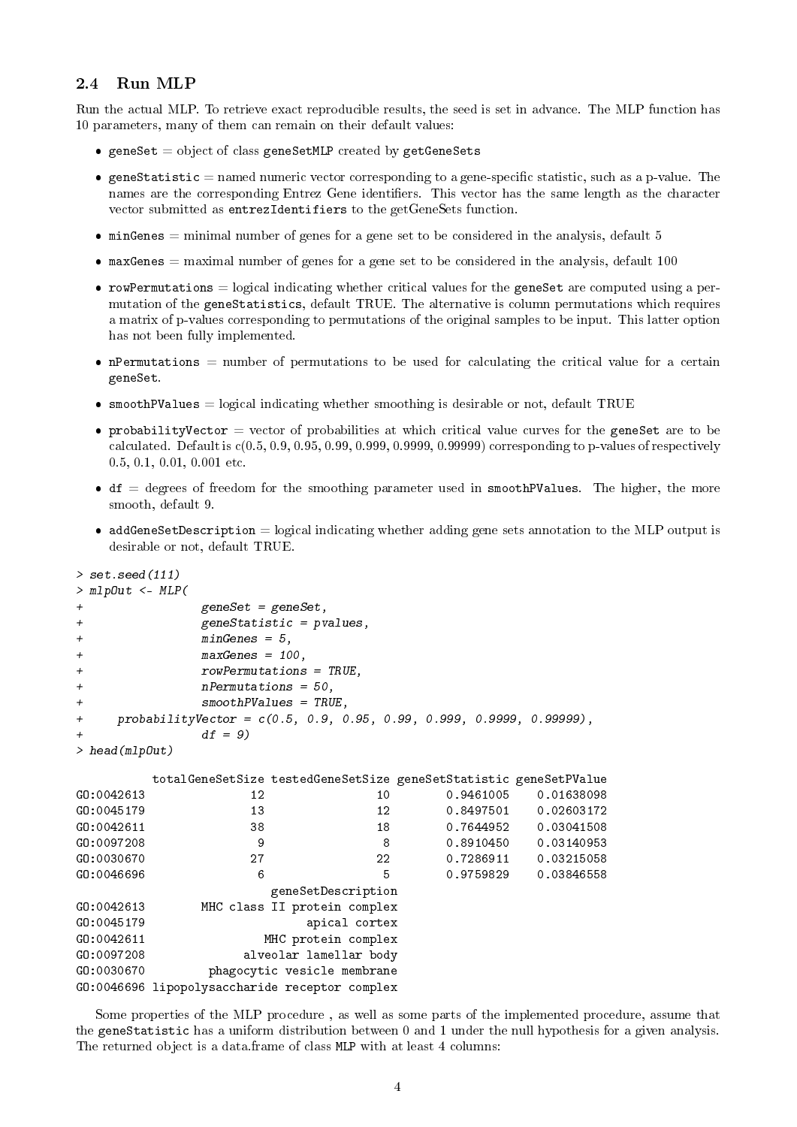## <span id="page-3-0"></span>2.4 Run MLP

Run the actual MLP. To retrieve exact reproducible results, the seed is set in advance. The MLP function has 10 parameters, many of them can remain on their default values:

- $\bullet$  geneSet = object of class geneSetMLP created by getGeneSets
- $\bullet$  geneStatistic = named numeric vector corresponding to a gene-specific statistic, such as a p-value. The names are the corresponding Entrez Gene identifiers. This vector has the same length as the character vector submitted as entrezIdentifiers to the getGeneSets function.
- $\bullet$  minGenes = minimal number of genes for a gene set to be considered in the analysis, default 5
- $\bullet$  maxGenes = maximal number of genes for a gene set to be considered in the analysis, default 100
- $\bullet$  rowPermutations = logical indicating whether critical values for the geneSet are computed using a permutation of the geneStatistics, default TRUE. The alternative is column permutations which requires a matrix of p-values corresponding to permutations of the original samples to be input. This latter option has not been fully implemented.
- $\bullet$  nPermutations = number of permutations to be used for calculating the critical value for a certain geneSet.
- $\bullet$  smoothPValues = logical indicating whether smoothing is desirable or not, default TRUE
- probabilityVector = vector of probabilities at which critical value curves for the geneSet are to be calculated. Default is  $c(0.5, 0.9, 0.95, 0.99, 0.999, 0.9999, 0.99999)$  corresponding to p-values of respectively 0.5, 0.1, 0.01, 0.001 etc.
- $\bullet$  df = degrees of freedom for the smoothing parameter used in smoothPValues. The higher, the more smooth, default 9.
- $\bullet$  addGeneSetDescription = logical indicating whether adding gene sets annotation to the MLP output is desirable or not, default TRUE.

```
> set.seed(111)
> mlpOut <- MLP(
+ geneSet = geneSet,
+ geneStatistic = pvalues,
+ minGenes = 5,
+ maxGenes = 100,
+ rowPermutations = TRUE,
            nPermutations = 50,
            smoothPValues = TRUE,+ probabilityVector = c(0.5, 0.9, 0.95, 0.99, 0.999, 0.9999, 0.99999),
            df = 9)
> head(mlpOut)
       totalGeneSetSize testedGeneSetSize geneSetStatistic geneSetPValue
GO:0042613 12 10 0.9461005 0.01638098
G0:0045179 13 12 0.8497501 0.02603172
GO:0042611 38 18 0.7644952 0.03041508
GO:0097208 9 9 8 0.8910450 0.03140953
GO:0030670 27 22 0.7286911 0.03215058
GO:0046696 6 5 0.9759829 0.03846558
                   geneSetDescription
GO:0042613 MHC class II protein complex
GO:0045179 apical cortex
GO:0042611 MHC protein complex
GO:0097208 alveolar lamellar body
GO:0030670 phagocytic vesicle membrane
GO:0046696 lipopolysaccharide receptor complex
```
Some properties of the MLP procedure , as well as some parts of the implemented procedure, assume that the geneStatistic has a uniform distribution between 0 and 1 under the null hypothesis for a given analysis. The returned object is a data.frame of class MLP with at least 4 columns: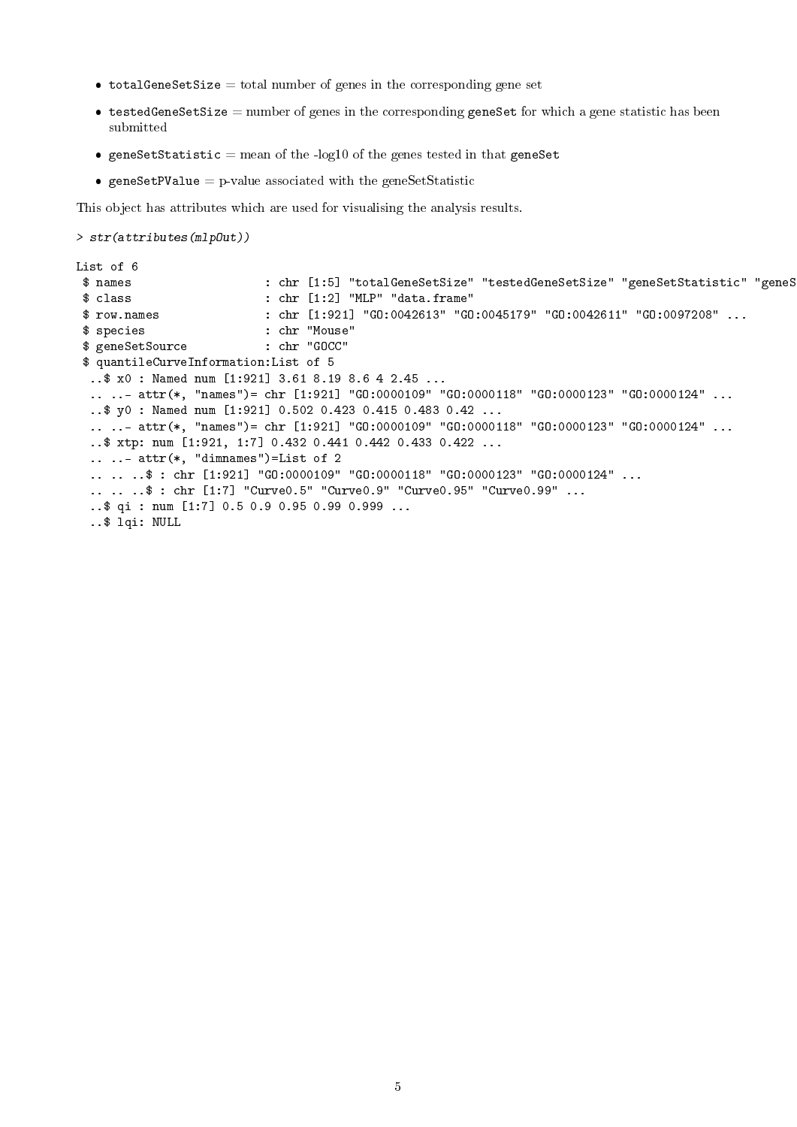- $\bullet$  totalGeneSetSize = total number of genes in the corresponding gene set
- $\bullet$  testedGeneSetSize = number of genes in the corresponding geneSet for which a gene statistic has been submitted
- geneSetStatistic = mean of the -log10 of the genes tested in that geneSet
- **•** geneSetPValue = p-value associated with the geneSetStatistic

This object has attributes which are used for visualising the analysis results.

```
> str(attributes(mlpOut))
```

```
List of 6
 $ names \text{c} : chr [1:5] "totalGeneSetSize" "testedGeneSetSize" "geneSetStatistic" "geneS
 $ class : chr [1:2] "MLP" "data.frame"
 $ row.names : chr [1:921] "GO:0042613" "GO:0045179" "GO:0042611" "GO:0097208" ...
 $ species : chr "Mouse"<br>$ geneSetSource : chr "GOCC"
 $ geneSetSource
 $ quantileCurveInformation:List of 5
  ..$ x0 : Named num [1:921] 3.61 8.19 8.6 4 2.45 ...
  .. ..- attr(*, "names")= chr [1:921] "GO:0000109" "GO:0000118" "GO:0000123" "GO:0000124" ...
  ..$ y0 : Named num [1:921] 0.502 0.423 0.415 0.483 0.42 ...
  .. ..- attr(*, "names")= chr [1:921] "GO:0000109" "GO:0000118" "GO:0000123" "GO:0000124" ...
  ..$ xtp: num [1:921, 1:7] 0.432 0.441 0.442 0.433 0.422 ...
  .. ..- attr(*, "dimnames")=List of 2
  .. .. ..$ : chr [1:921] "GO:0000109" "GO:0000118" "GO:0000123" "GO:0000124" ...
  .. .. ..$ : chr [1:7] "Curve0.5" "Curve0.9" "Curve0.95" "Curve0.99" ...
  ..$ qi : num [1:7] 0.5 0.9 0.95 0.99 0.999 ...
  ..$ lqi: NULL
```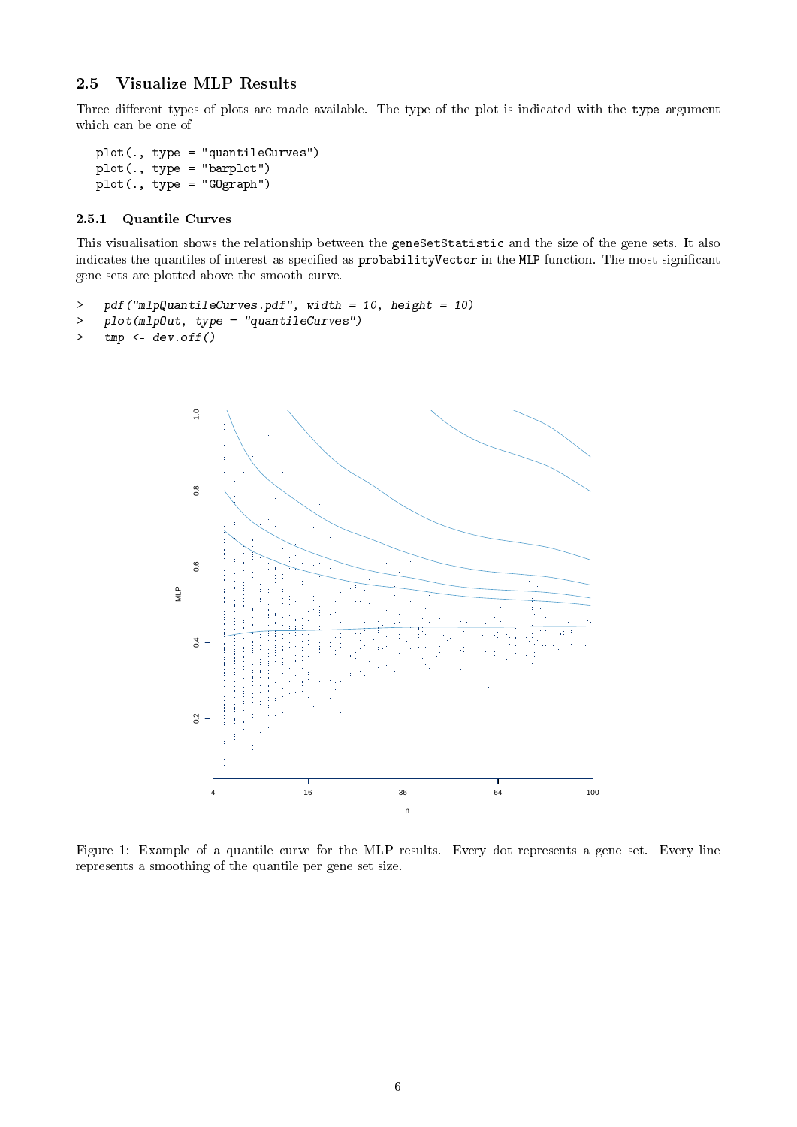## <span id="page-5-0"></span>2.5 Visualize MLP Results

Three different types of plots are made available. The type of the plot is indicated with the type argument which can be one of

```
plot(., type = "quantileCurves")
plot(., type = "barplot")
plot(., type = "GOgraph")
```
#### <span id="page-5-1"></span>2.5.1 Quantile Curves

This visualisation shows the relationship between the geneSetStatistic and the size of the gene sets. It also indicates the quantiles of interest as specified as probabilityVector in the MLP function. The most significant gene sets are plotted above the smooth curve.

```
> pdf("mlpQuantileCurves.pdf", width = 10, height = 10)
```

```
> plot(mlpOut, type = "quantileCurves")
```

```
> tmp <- dev. of f()
```


Figure 1: Example of a quantile curve for the MLP results. Every dot represents a gene set. Every line represents a smoothing of the quantile per gene set size.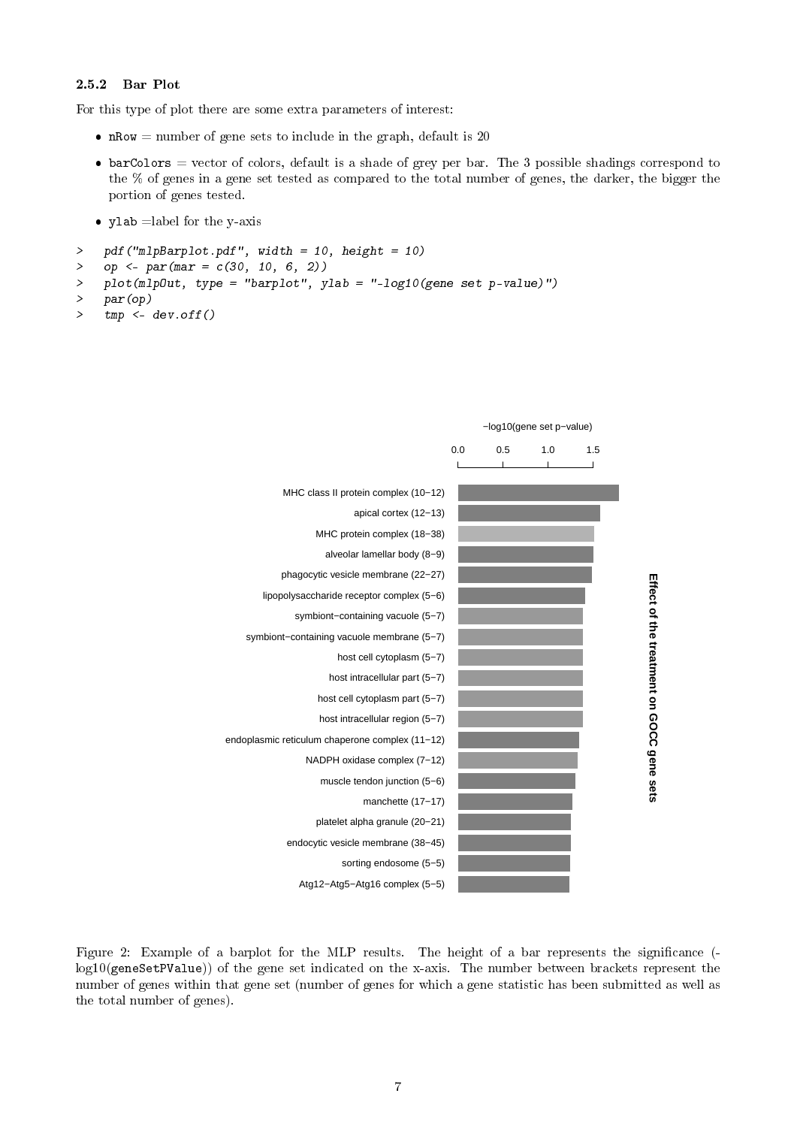#### <span id="page-6-0"></span>2.5.2 Bar Plot

For this type of plot there are some extra parameters of interest:

- $nRow = number of gene sets to include in the graph, default is 20$
- $\bullet$  barColors = vector of colors, default is a shade of grey per bar. The 3 possible shadings correspond to the % of genes in a gene set tested as compared to the total number of genes, the darker, the bigger the portion of genes tested.
- ylab =label for the y-axis
- > pdf("mlpBarplot.pdf", width = 10, height = 10)
- > op <- par(mar =  $c(30, 10, 6, 2)$ )
- > plot(mlpOut, type = "barplot", ylab = "-log10(gene set p-value)")

```
> par(op)
```
 $>$  tmp  $\leq$  dev. of f()



Figure 2: Example of a barplot for the MLP results. The height of a bar represents the significance (log10(geneSetPValue)) of the gene set indicated on the x-axis. The number between brackets represent the number of genes within that gene set (number of genes for which a gene statistic has been submitted as well as the total number of genes).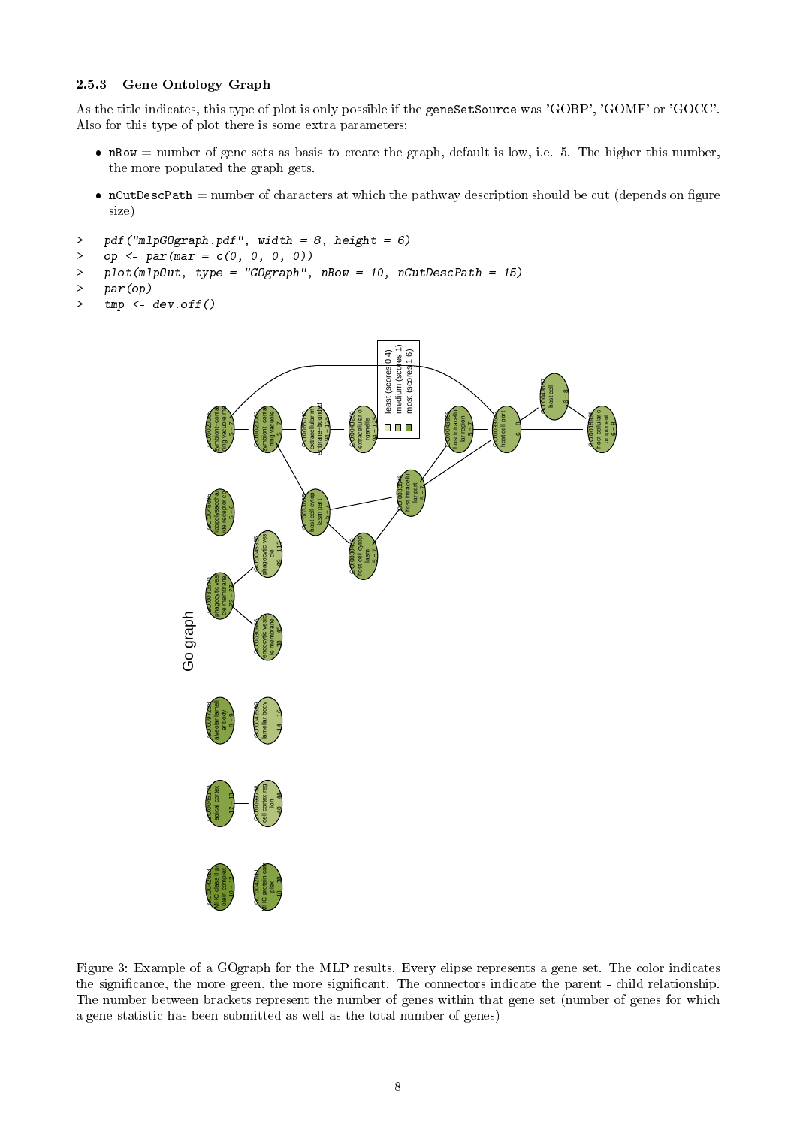#### <span id="page-7-0"></span>2.5.3 Gene Ontology Graph

As the title indicates, this type of plot is only possible if the geneSetSource was 'GOBP', 'GOMF' or 'GOCC'. Also for this type of plot there is some extra parameters:

- $\bullet$  nRow = number of gene sets as basis to create the graph, default is low, i.e. 5. The higher this number, the more populated the graph gets.
- $ncutDescPath = number of characters at which the pathway description should be cut (depends on figure)$ size)

```
> pdf("mlpGOgraph.pdf", width = 8, height = 6)
```
- > op <-  $par(max = c(0, 0, 0, 0))$
- > plot(mlpOut, type = "GOgraph", nRow = 10, nCutDescPath = 15)
- > par(op)
- $>$  tmp  $\leq$  dev. of  $f()$



Figure 3: Example of a GOgraph for the MLP results. Every elipse represents a gene set. The color indicates the signicance, the more green, the more signicant. The connectors indicate the parent - child relationship. The number between brackets represent the number of genes within that gene set (number of genes for which a gene statistic has been submitted as well as the total number of genes)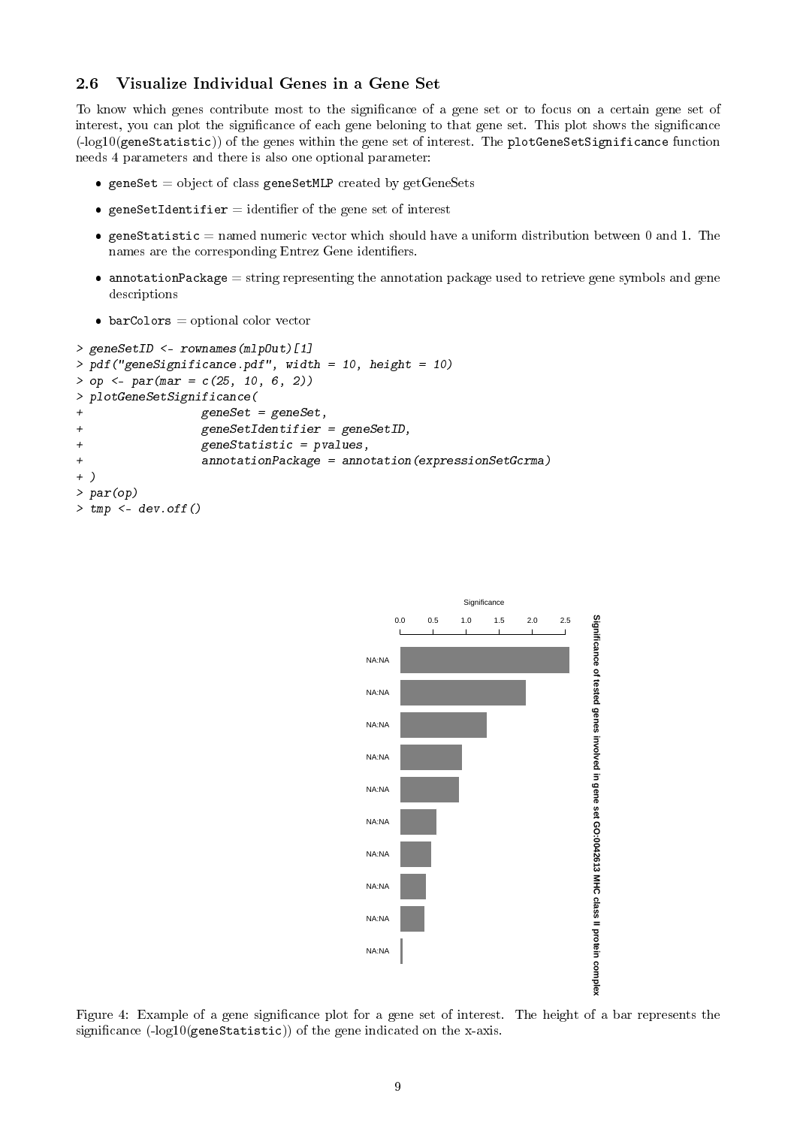#### <span id="page-8-0"></span>2.6 Visualize Individual Genes in a Gene Set

To know which genes contribute most to the signicance of a gene set or to focus on a certain gene set of interest, you can plot the significance of each gene beloning to that gene set. This plot shows the significance (-log10(geneStatistic)) of the genes within the gene set of interest. The plotGeneSetSignificance function needs 4 parameters and there is also one optional parameter:

- **•** geneSet = object of class geneSetMLP created by  $getGenesets$
- geneSetIdentifier = identifier of the gene set of interest
- **geneStatistic** = named numeric vector which should have a uniform distribution between 0 and 1. The names are the corresponding Entrez Gene identifiers.
- $\bullet$  annotationPackage = string representing the annotation package used to retrieve gene symbols and gene descriptions
- $\bullet$  barColors = optional color vector

```
> geneSetID <- rownames(mlpOut)[1]
> pdf("geneSignificance.pdf", width = 10, height = 10)
> op <- par(mar = c(25, 10, 6, 2))
> plotGeneSetSignificance(
               geneset = geneSet,+ geneSetIdentifier = geneSetID,
+ geneStatistic = pvalues,
+ annotationPackage = annotation(expressionSetGcrma)
+ )
> par(op)
> tmp \leq dev.off()
```


Figure 4: Example of a gene signicance plot for a gene set of interest. The height of a bar represents the significance  $(-\log 10(\text{geneStatic}))$  of the gene indicated on the x-axis.